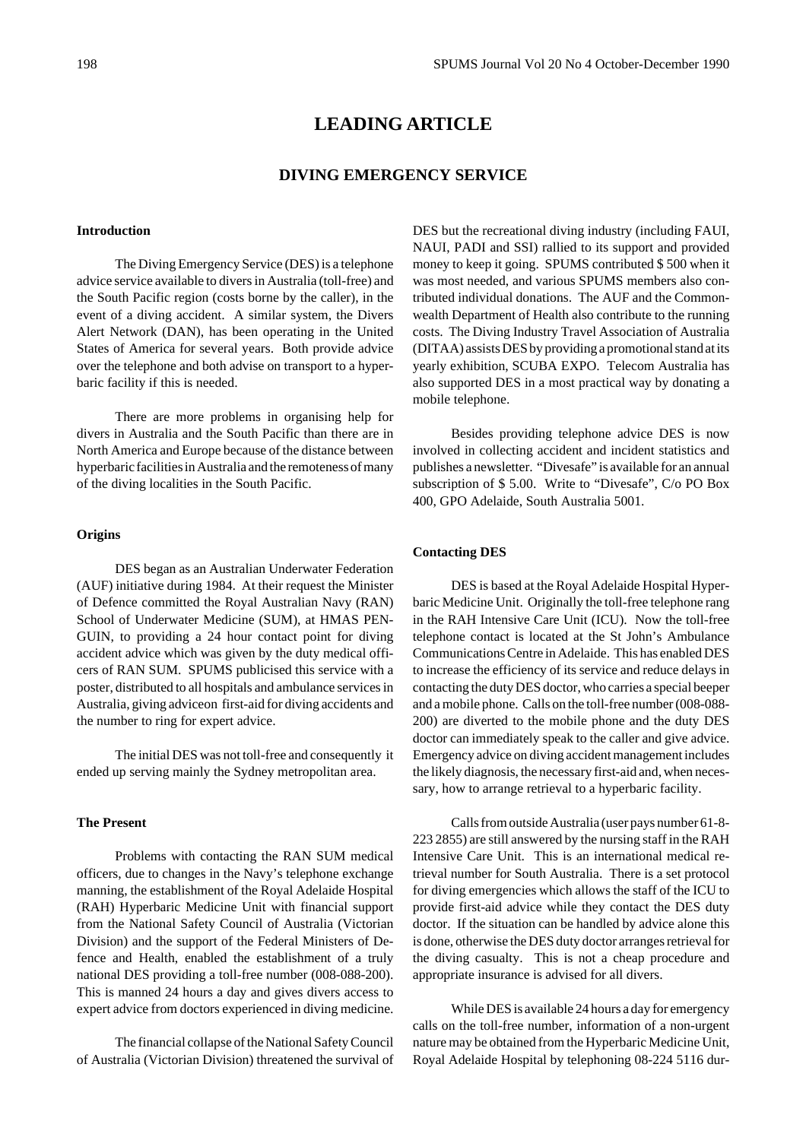# **LEADING ARTICLE**

# **DIVING EMERGENCY SERVICE**

# **Introduction**

The Diving Emergency Service (DES) is a telephone advice service available to divers in Australia (toll-free) and the South Pacific region (costs borne by the caller), in the event of a diving accident. A similar system, the Divers Alert Network (DAN), has been operating in the United States of America for several years. Both provide advice over the telephone and both advise on transport to a hyperbaric facility if this is needed.

There are more problems in organising help for divers in Australia and the South Pacific than there are in North America and Europe because of the distance between hyperbaric facilities in Australia and the remoteness of many of the diving localities in the South Pacific.

#### **Origins**

DES began as an Australian Underwater Federation (AUF) initiative during 1984. At their request the Minister of Defence committed the Royal Australian Navy (RAN) School of Underwater Medicine (SUM), at HMAS PEN-GUIN, to providing a 24 hour contact point for diving accident advice which was given by the duty medical officers of RAN SUM. SPUMS publicised this service with a poster, distributed to all hospitals and ambulance services in Australia, giving adviceon first-aid for diving accidents and the number to ring for expert advice.

The initial DES was not toll-free and consequently it ended up serving mainly the Sydney metropolitan area.

### **The Present**

Problems with contacting the RAN SUM medical officers, due to changes in the Navy's telephone exchange manning, the establishment of the Royal Adelaide Hospital (RAH) Hyperbaric Medicine Unit with financial support from the National Safety Council of Australia (Victorian Division) and the support of the Federal Ministers of Defence and Health, enabled the establishment of a truly national DES providing a toll-free number (008-088-200). This is manned 24 hours a day and gives divers access to expert advice from doctors experienced in diving medicine.

The financial collapse of the National Safety Council of Australia (Victorian Division) threatened the survival of DES but the recreational diving industry (including FAUI, NAUI, PADI and SSI) rallied to its support and provided money to keep it going. SPUMS contributed \$ 500 when it was most needed, and various SPUMS members also contributed individual donations. The AUF and the Commonwealth Department of Health also contribute to the running costs. The Diving Industry Travel Association of Australia (DITAA) assists DES by providing a promotional stand at its yearly exhibition, SCUBA EXPO. Telecom Australia has also supported DES in a most practical way by donating a mobile telephone.

Besides providing telephone advice DES is now involved in collecting accident and incident statistics and publishes a newsletter. "Divesafe" is available for an annual subscription of \$ 5.00. Write to "Divesafe", C/o PO Box 400, GPO Adelaide, South Australia 5001.

#### **Contacting DES**

DES is based at the Royal Adelaide Hospital Hyperbaric Medicine Unit. Originally the toll-free telephone rang in the RAH Intensive Care Unit (ICU). Now the toll-free telephone contact is located at the St John's Ambulance Communications Centre in Adelaide. This has enabled DES to increase the efficiency of its service and reduce delays in contacting the duty DES doctor, who carries a special beeper and a mobile phone. Calls on the toll-free number (008-088- 200) are diverted to the mobile phone and the duty DES doctor can immediately speak to the caller and give advice. Emergency advice on diving accident management includes the likely diagnosis, the necessary first-aid and, when necessary, how to arrange retrieval to a hyperbaric facility.

Calls from outside Australia (user pays number 61-8- 223 2855) are still answered by the nursing staff in the RAH Intensive Care Unit. This is an international medical retrieval number for South Australia. There is a set protocol for diving emergencies which allows the staff of the ICU to provide first-aid advice while they contact the DES duty doctor. If the situation can be handled by advice alone this is done, otherwise the DES duty doctor arranges retrieval for the diving casualty. This is not a cheap procedure and appropriate insurance is advised for all divers.

While DES is available 24 hours a day for emergency calls on the toll-free number, information of a non-urgent nature may be obtained from the Hyperbaric Medicine Unit, Royal Adelaide Hospital by telephoning 08-224 5116 dur